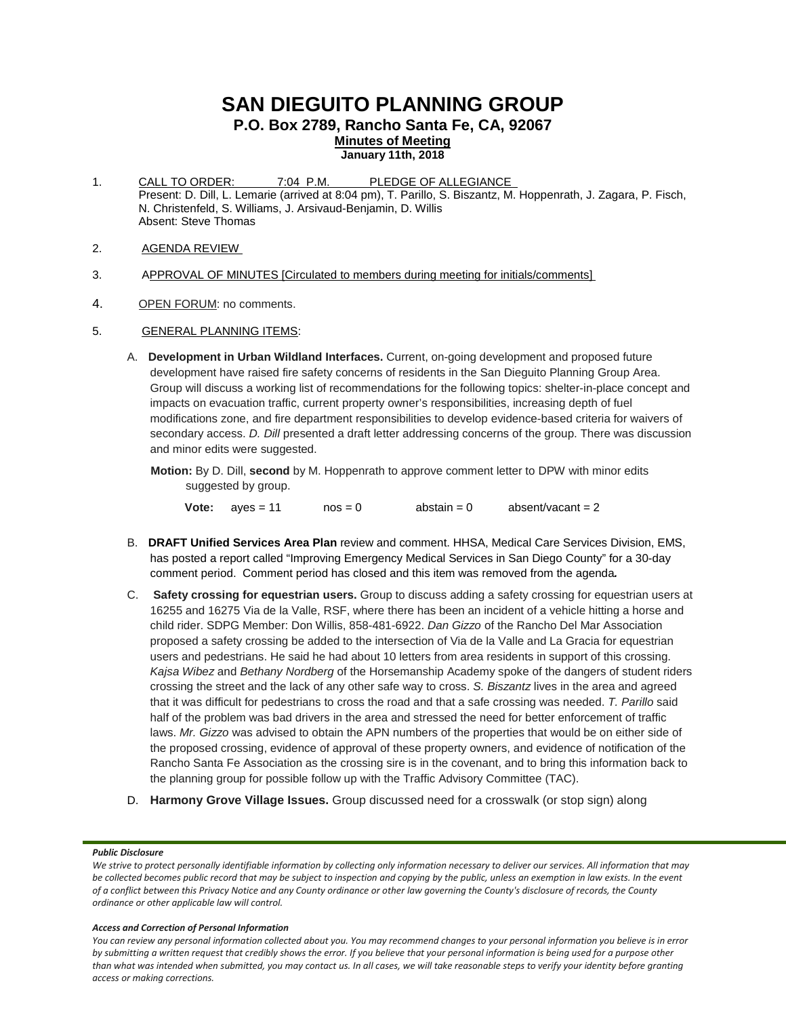# **SAN DIEGUITO PLANNING GROUP**

**P.O. Box 2789, Rancho Santa Fe, CA, 92067**

**Minutes of Meeting**

**January 11th, 2018**

- 1. CALL TO ORDER: 7:04 P.M. PLEDGE OF ALLEGIANCE Present: D. Dill, L. Lemarie (arrived at 8:04 pm), T. Parillo, S. Biszantz, M. Hoppenrath, J. Zagara, P. Fisch, N. Christenfeld, S. Williams, J. Arsivaud-Benjamin, D. Willis Absent: Steve Thomas
- 2. AGENDA REVIEW
- 3. APPROVAL OF MINUTES [Circulated to members during meeting for initials/comments]
- 4. OPEN FORUM: no comments.
- 5. GENERAL PLANNING ITEMS:
	- A. **Development in Urban Wildland Interfaces.** Current, on-going development and proposed future development have raised fire safety concerns of residents in the San Dieguito Planning Group Area. Group will discuss a working list of recommendations for the following topics: shelter-in-place concept and impacts on evacuation traffic, current property owner's responsibilities, increasing depth of fuel modifications zone, and fire department responsibilities to develop evidence-based criteria for waivers of secondary access. *D. Dill* presented a draft letter addressing concerns of the group. There was discussion and minor edits were suggested.
		- **Motion:** By D. Dill, **second** by M. Hoppenrath to approve comment letter to DPW with minor edits suggested by group.

**Vote:**  $a$ yes = 11  $a$ nos = 0  $a$ bstain = 0  $a$ bsent/vacant = 2

- B. **DRAFT Unified Services Area Plan** review and comment. HHSA, Medical Care Services Division, EMS, has posted a report called "Improving Emergency Medical Services in San Diego County" for a 30-day comment period. Comment period has closed and this item was removed from the agenda*.*
- C. **Safety crossing for equestrian users.** Group to discuss adding a safety crossing for equestrian users at 16255 and 16275 Via de la Valle, RSF, where there has been an incident of a vehicle hitting a horse and child rider. SDPG Member: Don Willis, 858-481-6922. *Dan Gizzo* of the Rancho Del Mar Association proposed a safety crossing be added to the intersection of Via de la Valle and La Gracia for equestrian users and pedestrians. He said he had about 10 letters from area residents in support of this crossing. *Kajsa Wibez* and *Bethany Nordberg* of the Horsemanship Academy spoke of the dangers of student riders crossing the street and the lack of any other safe way to cross. *S. Biszantz* lives in the area and agreed that it was difficult for pedestrians to cross the road and that a safe crossing was needed. *T. Parillo* said half of the problem was bad drivers in the area and stressed the need for better enforcement of traffic laws. *Mr. Gizzo* was advised to obtain the APN numbers of the properties that would be on either side of the proposed crossing, evidence of approval of these property owners, and evidence of notification of the Rancho Santa Fe Association as the crossing sire is in the covenant, and to bring this information back to the planning group for possible follow up with the Traffic Advisory Committee (TAC).
- D. **Harmony Grove Village Issues.** Group discussed need for a crosswalk (or stop sign) along

## *Public Disclosure*

#### *Access and Correction of Personal Information*

*We strive to protect personally identifiable information by collecting only information necessary to deliver our services. All information that may be collected becomes public record that may be subject to inspection and copying by the public, unless an exemption in law exists. In the event of a conflict between this Privacy Notice and any County ordinance or other law governing the County's disclosure of records, the County ordinance or other applicable law will control.*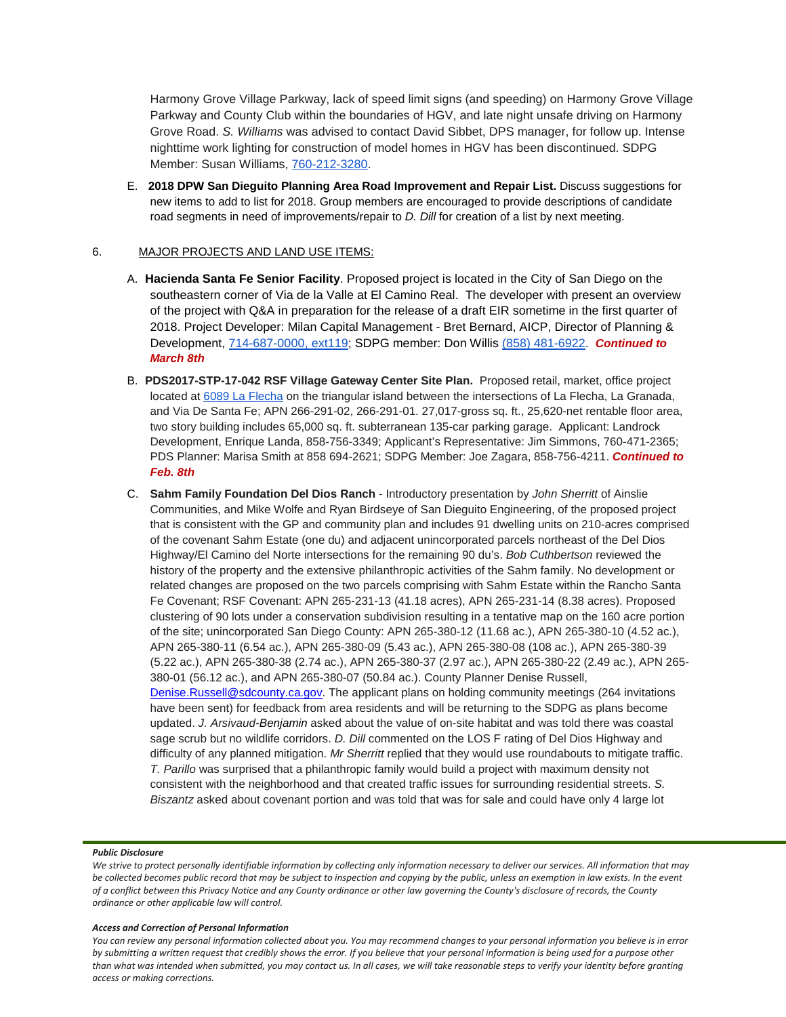Harmony Grove Village Parkway, lack of speed limit signs (and speeding) on Harmony Grove Village Parkway and County Club within the boundaries of HGV, and late night unsafe driving on Harmony Grove Road. *S. Williams* was advised to contact David Sibbet, DPS manager, for follow up. Intense nighttime work lighting for construction of model homes in HGV has been discontinued. SDPG Member: Susan Williams, [760-212-3280.](tel:(760)%20212-3280)

E. **2018 DPW San Dieguito Planning Area Road Improvement and Repair List.** Discuss suggestions for new items to add to list for 2018. Group members are encouraged to provide descriptions of candidate road segments in need of improvements/repair to *D. Dill* for creation of a list by next meeting.

# 6. MAJOR PROJECTS AND LAND USE ITEMS:

- A. **Hacienda Santa Fe Senior Facility**. Proposed project is located in the City of San Diego on the southeastern corner of Via de la Valle at El Camino Real. The developer with present an overview of the project with Q&A in preparation for the release of a draft EIR sometime in the first quarter of 2018. Project Developer: Milan Capital Management - Bret Bernard, AICP, Director of Planning & Development, [714-687-0000, ext119;](tel:(714)%20687-0000) SDPG member: Don Willis [\(858\) 481-6922.](tel:(858)%20481-6922) *Continued to March 8th*
- B. **PDS2017-STP-17-042 RSF Village Gateway Center Site Plan.** Proposed retail, market, office project located at [6089 La Flecha](https://maps.google.com/?q=6089+La+Flecha&entry=gmail&source=g) on the triangular island between the intersections of La Flecha, La Granada, and Via De Santa Fe; APN 266-291-02, 266-291-01. 27,017-gross sq. ft., 25,620-net rentable floor area, two story building includes 65,000 sq. ft. subterranean 135-car parking garage. Applicant: Landrock Development, Enrique Landa, 858-756-3349; Applicant's Representative: Jim Simmons, 760-471-2365; PDS Planner: Marisa Smith at 858 694-2621; SDPG Member: Joe Zagara, 858-756-4211. *Continued to Feb. 8th*
- C. **Sahm Family Foundation Del Dios Ranch** Introductory presentation by *John Sherritt* of Ainslie Communities, and Mike Wolfe and Ryan Birdseye of San Dieguito Engineering, of the proposed project that is consistent with the GP and community plan and includes 91 dwelling units on 210-acres comprised of the covenant Sahm Estate (one du) and adjacent unincorporated parcels northeast of the Del Dios Highway/El Camino del Norte intersections for the remaining 90 du's. *Bob Cuthbertson* reviewed the history of the property and the extensive philanthropic activities of the Sahm family. No development or related changes are proposed on the two parcels comprising with Sahm Estate within the Rancho Santa Fe Covenant; RSF Covenant: APN 265-231-13 (41.18 acres), APN 265-231-14 (8.38 acres). Proposed clustering of 90 lots under a conservation subdivision resulting in a tentative map on the 160 acre portion of the site; unincorporated San Diego County: APN 265-380-12 (11.68 ac.), APN 265-380-10 (4.52 ac.), APN 265-380-11 (6.54 ac.), APN 265-380-09 (5.43 ac.), APN 265-380-08 (108 ac.), APN 265-380-39 (5.22 ac.), APN 265-380-38 (2.74 ac.), APN 265-380-37 (2.97 ac.), APN 265-380-22 (2.49 ac.), APN 265- 380-01 (56.12 ac.), and APN 265-380-07 (50.84 ac.). County Planner Denise Russell, [Denise.Russell@sdcounty.ca.gov.](mailto:Denise.Russell@sdcounty.ca.gov) The applicant plans on holding community meetings (264 invitations have been sent) for feedback from area residents and will be returning to the SDPG as plans become updated. *J. Arsivaud*-*Benjamin* asked about the value of on-site habitat and was told there was coastal sage scrub but no wildlife corridors. *D. Dill* commented on the LOS F rating of Del Dios Highway and difficulty of any planned mitigation. *Mr Sherritt* replied that they would use roundabouts to mitigate traffic. *T. Parillo* was surprised that a philanthropic family would build a project with maximum density not consistent with the neighborhood and that created traffic issues for surrounding residential streets. *S. Biszantz* asked about covenant portion and was told that was for sale and could have only 4 large lot

## *Public Disclosure*

### *Access and Correction of Personal Information*

*We strive to protect personally identifiable information by collecting only information necessary to deliver our services. All information that may be collected becomes public record that may be subject to inspection and copying by the public, unless an exemption in law exists. In the event of a conflict between this Privacy Notice and any County ordinance or other law governing the County's disclosure of records, the County ordinance or other applicable law will control.*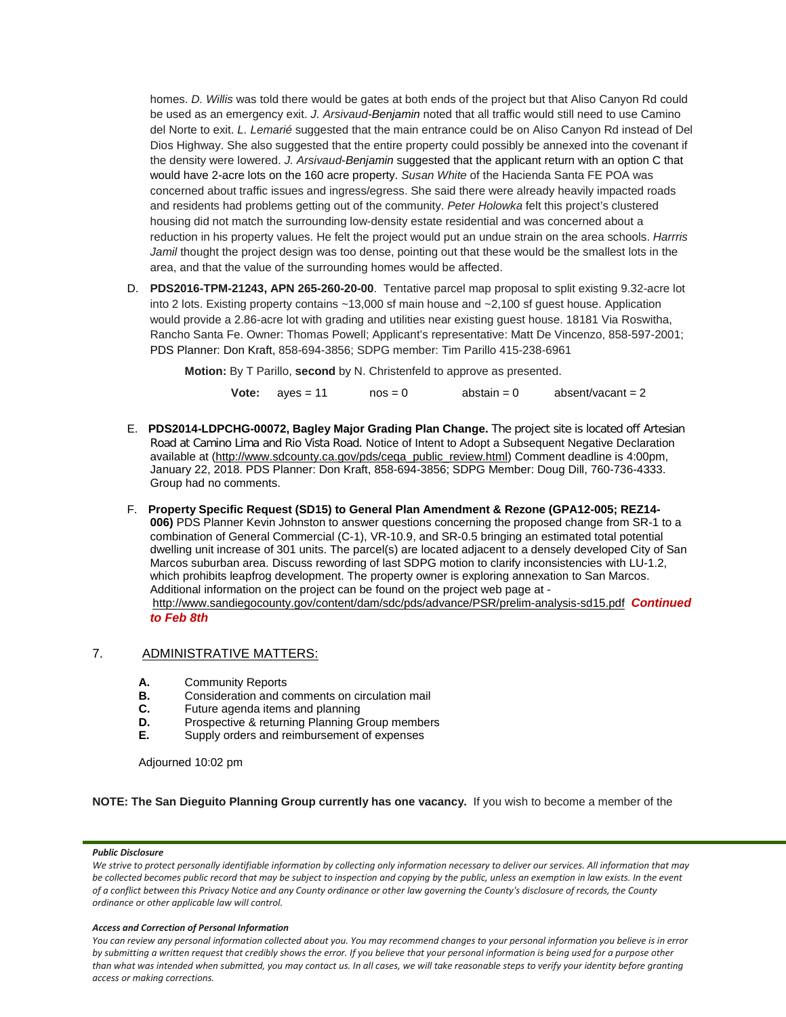homes. *D. Willis* was told there would be gates at both ends of the project but that Aliso Canyon Rd could be used as an emergency exit. *J. Arsivaud-Benjamin* noted that all traffic would still need to use Camino del Norte to exit. *L. Lemarié* suggested that the main entrance could be on Aliso Canyon Rd instead of Del Dios Highway. She also suggested that the entire property could possibly be annexed into the covenant if the density were lowered. *J. Arsivaud*-*Benjamin* suggested that the applicant return with an option C that would have 2-acre lots on the 160 acre property. *Susan White* of the Hacienda Santa FE POA was concerned about traffic issues and ingress/egress. She said there were already heavily impacted roads and residents had problems getting out of the community. *Peter Holowka* felt this project's clustered housing did not match the surrounding low-density estate residential and was concerned about a reduction in his property values. He felt the project would put an undue strain on the area schools. *Harrris Jamil* thought the project design was too dense, pointing out that these would be the smallest lots in the area, and that the value of the surrounding homes would be affected.

D. **PDS2016-TPM-21243, APN 265-260-20-00**. Tentative parcel map proposal to split existing 9.32-acre lot into 2 lots. Existing property contains ~13,000 sf main house and ~2,100 sf guest house. Application would provide a 2.86-acre lot with grading and utilities near existing guest house. 18181 Via Roswitha, Rancho Santa Fe. Owner: Thomas Powell; Applicant's representative: Matt De Vincenzo, 858-597-2001; PDS Planner: Don Kraft, 858-694-3856; SDPG member: Tim Parillo [415-238-6961](tel:415-238-6961)

**Motion:** By T Parillo, **second** by N. Christenfeld to approve as presented.

|  |  | <b>Vote:</b> $aves = 11$ | $nos = 0$ | abstain $= 0$ | absent/vacant = $2$ |
|--|--|--------------------------|-----------|---------------|---------------------|
|--|--|--------------------------|-----------|---------------|---------------------|

- E. **PDS2014-LDPCHG-00072, Bagley Major Grading Plan Change.** The project site is located off Artesian Road at Camino Lima and Rio Vista Road. Notice of Intent to Adopt a Subsequent Negative Declaration available at [\(http://www.sdcounty.ca.gov/pds/ceqa\\_public\\_review.html\)](http://www.sdcounty.ca.gov/pds/ceqa_public_review.html) Comment deadline is 4:00pm, January 22, 2018. PDS Planner: Don Kraft, 858-694-3856; SDPG Member: Doug Dill, 760-736-4333. Group had no comments.
- F. **Property Specific Request (SD15) to General Plan Amendment & Rezone (GPA12-005; REZ14- 006)** PDS Planner Kevin Johnston to answer questions concerning the proposed change from SR-1 to a combination of General Commercial (C-1), VR-10.9, and SR-0.5 bringing an estimated total potential dwelling unit increase of 301 units. The parcel(s) are located adjacent to a densely developed City of San Marcos suburban area. Discuss rewording of last SDPG motion to clarify inconsistencies with LU-1.2, which prohibits leapfrog development. The property owner is exploring annexation to San Marcos. Additional information on the project can be found on the project web page at <http://www.sandiegocounty.gov/content/dam/sdc/pds/advance/PSR/prelim-analysis-sd15.pdf>*Continued to Feb 8th*

# 7. ADMINISTRATIVE MATTERS:

- **A.** Community Reports<br>**B.** Consideration and com-
- **B.** Consideration and comments on circulation mail<br>**C.** Future agenda items and planning
- **C.** Future agenda items and planning<br>**D.** Prospective & returning Planning G
- **D.** Prospective & returning Planning Group members **E.** Supply orders and reimbursement of expenses
- **E.** Supply orders and reimbursement of expenses

Adjourned 10:02 pm

**NOTE: The San Dieguito Planning Group currently has one vacancy.** If you wish to become a member of the

## *Public Disclosure*

*We strive to protect personally identifiable information by collecting only information necessary to deliver our services. All information that may be collected becomes public record that may be subject to inspection and copying by the public, unless an exemption in law exists. In the event of a conflict between this Privacy Notice and any County ordinance or other law governing the County's disclosure of records, the County ordinance or other applicable law will control.*

## *Access and Correction of Personal Information*